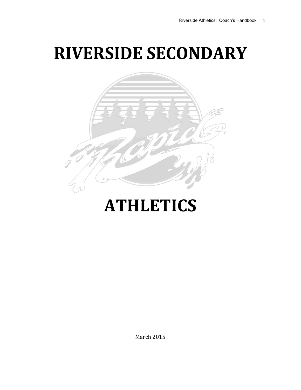# **RIVERSIDE SECONDARY**



# **ATHLETICS**

March 2015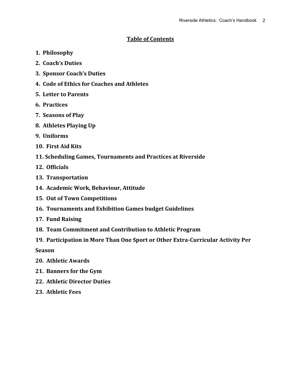# **Table of Contents**

- **1. Philosophy**
- **2. Coach's Duties**
- **3. Sponsor Coach's Duties**
- **4. Code of Ethics for Coaches and Athletes**
- **5. Letter to Parents**
- **6. Practices**
- **7. Seasons of Play**
- **8. Athletes Playing Up**
- **9. Uniforms**
- **10. First Aid Kits**
- **11. Scheduling Games, Tournaments and Practices at Riverside**
- **12. Officials**
- **13. Transportation**
- **14. Academic Work, Behaviour, Attitude**
- **15. Out of Town Competitions**
- **16. Tournaments and Exhibition Games budget Guidelines**
- **17. Fund Raising**
- **18. Team Commitment and Contribution to Athletic Program**
- **19. Participation in More Than One Sport or Other Extra-Curricular Activity Per**

**Season**

- **20. Athletic Awards**
- **21. Banners for the Gym**
- **22. Athletic Director Duties**
- **23. Athletic Fees**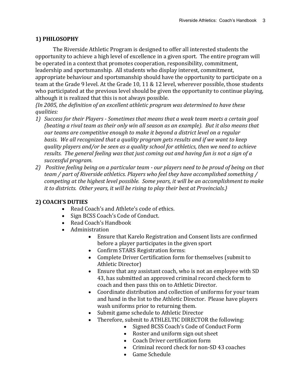# **1) PHILOSOPHY**

The Riverside Athletic Program is designed to offer all interested students the opportunity to achieve a high level of excellence in a given sport. The entire program will be operated in a context that promotes cooperation, responsibility, commitment, leadership and sportsmanship. All students who display interest, commitment, appropriate behaviour and sportsmanship should have the opportunity to participate on a team at the Grade 9 level. At the Grade 10, 11 & 12 level, wherever possible, those students who participated at the previous level should be given the opportunity to continue playing, although it is realized that this is not always possible.

*{In 2005, the definition of an excellent athletic program was determined to have these qualities:*

- *1) Success for their Players - Sometimes that means that a weak team meets a certain goal (beating a rival team as their only win all season as an example). But it also means that our teams are competitive enough to make it beyond a district level on a regular basis. We all recognized that a quality program gets results and if we want to keep quality players and/or be seen as a quality school for athletics, then we need to achieve results. The general feeling was that just coming out and having fun is not a sign of a successful program.*
- *2) Positive feeling being on a particular team - our players need to be proud of being on that team / part of Riverside athletics. Players who feel they have accomplished something / competing at the highest level possible. Some years, it will be an accomplishment to make it to districts. Other years, it will be rising to play their best at Provincials.}*

# **2) COACH'S DUTIES**

- Read Coach's and Athlete's code of ethics.
- Sign BCSS Coach's Code of Conduct.
- Read Coach's Handbook
- Administration
	- Ensure that Karelo Registration and Consent lists are confirmed before a player participates in the given sport
	- Confirm STARS Registration forms:
	- Complete Driver Certification form for themselves (submit to Athletic Director)
	- Ensure that any assistant coach, who is not an employee with SD 43, has submitted an approved criminal record check form to coach and then pass this on to Athletic Director.
	- Coordinate distribution and collection of uniforms for your team and hand in the list to the Athletic Director. Please have players wash uniforms prior to returning them.
	- Submit game schedule to Athletic Director
	- Therefore, submit to ATHLELTIC DIRECTOR the following:
		- Signed BCSS Coach's Code of Conduct Form
		- Roster and uniform sign out sheet
		- Coach Driver certification form
		- Criminal record check for non-SD 43 coaches
		- Game Schedule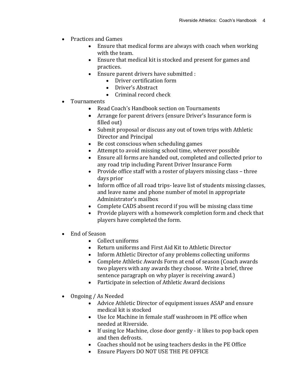- Practices and Games
	- Ensure that medical forms are always with coach when working with the team.
	- Ensure that medical kit is stocked and present for games and practices.
	- Ensure parent drivers have submitted :
		- Driver certification form
		- Driver's Abstract
		- Criminal record check
- Tournaments
	- Read Coach's Handbook section on Tournaments
	- Arrange for parent drivers (ensure Driver's Insurance form is filled out)
	- Submit proposal or discuss any out of town trips with Athletic Director and Principal
	- Be cost conscious when scheduling games
	- Attempt to avoid missing school time, wherever possible
	- Ensure all forms are handed out, completed and collected prior to any road trip including Parent Driver Insurance Form
	- Provide office staff with a roster of players missing class three days prior
	- Inform office of all road trips-leave list of students missing classes, and leave name and phone number of motel in appropriate Administrator's mailbox
	- Complete CADS absent record if you will be missing class time
	- Provide players with a homework completion form and check that players have completed the form.
- End of Season
	- Collect uniforms
	- Return uniforms and First Aid Kit to Athletic Director
	- Inform Athletic Director of any problems collecting uniforms
	- Complete Athletic Awards Form at end of season (Coach awards two players with any awards they choose. Write a brief, three sentence paragraph on why player is receiving award.)
	- Participate in selection of Athletic Award decisions
- Ongoing / As Needed
	- Advice Athletic Director of equipment issues ASAP and ensure medical kit is stocked
	- Use Ice Machine in female staff washroom in PE office when needed at Riverside.
	- If using Ice Machine, close door gently it likes to pop back open and then defrosts.
	- Coaches should not be using teachers desks in the PE Office
	- Ensure Players DO NOT USE THE PE OFFICE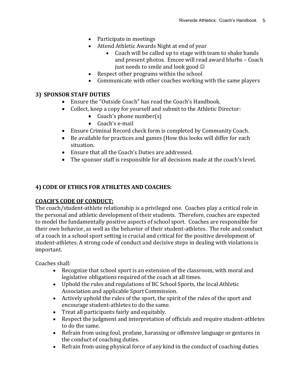- Participate in meetings
- Attend Athletic Awards Night at end of year
	- Coach will be called up to stage with team to shake hands and present photos. Emcee will read award blurbs – Coach just needs to smile and look good  $\odot$
- Respect other programs within the school
- Communicate with other coaches working with the same players

## **3) SPONSOR STAFF DUTIES**

- Ensure the "Outside Coach" has read the Coach's Handbook.
- Collect, keep a copy for yourself and submit to the Athletic Director:
	- Coach's phone number $(s)$
	- Coach's e-mail
- Ensure Criminal Record check form is completed by Community Coach.
- Be available for practices and games (How this looks will differ for each situation.
- Ensure that all the Coach's Duties are addressed.
- The sponsor staff is responsible for all decisions made at the coach's level.

## **4) CODE OF ETHICS FOR ATHLETES AND COACHES:**

## **COACH'S CODE OF CONDUCT:**

The coach/student-athlete relationship is a privileged one. Coaches play a critical role in the personal and athletic development of their students. Therefore, coaches are expected to model the fundamentally positive aspects of school sport. Coaches are responsible for their own behavior, as well as the behavior of their student-athletes. The role and conduct of a coach in a school sport setting is crucial and critical for the positive development of student-athletes. A strong code of conduct and decisive steps in dealing with violations is important.

Coaches shall:

- Recognize that school sport is an extension of the classroom, with moral and legislative obligations required of the coach at all times.
- Uphold the rules and regulations of BC School Sports, the local Athletic Association and applicable Sport Commission.
- Actively uphold the rules of the sport, the spirit of the rules of the sport and encourage student-athletes to do the same.
- Treat all participants fairly and equitably.
- Respect the judgment and interpretation of officials and require student-athletes to do the same.
- Refrain from using foul, profane, harassing or offensive language or gestures in the conduct of coaching duties.
- Refrain from using physical force of any kind in the conduct of coaching duties.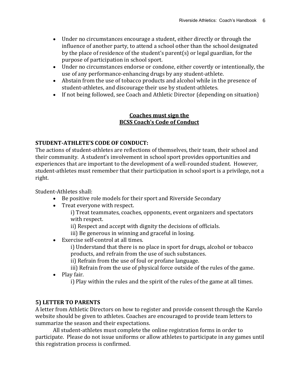- Under no circumstances encourage a student, either directly or through the influence of another party, to attend a school other than the school designated by the place of residence of the student's parent(s) or legal guardian, for the purpose of participation in school sport.
- Under no circumstances endorse or condone, either covertly or intentionally, the use of any performance-enhancing drugs by any student-athlete.
- Abstain from the use of tobacco products and alcohol while in the presence of student-athletes, and discourage their use by student-athletes.
- If not being followed, see Coach and Athletic Director (depending on situation)

## **Coaches must sign the BCSS Coach's Code of Conduct**

## **STUDENT-ATHLETE'S CODE OF CONDUCT:**

The actions of student-athletes are reflections of themselves, their team, their school and their community. A student's involvement in school sport provides opportunities and experiences that are important to the development of a well-rounded student. However, student-athletes must remember that their participation in school sport is a privilege, not a right.

Student-Athletes shall:

- Be positive role models for their sport and Riverside Secondary
- Treat everyone with respect.
	- i) Treat teammates, coaches, opponents, event organizers and spectators with respect.
	- ii) Respect and accept with dignity the decisions of officials.
	- iii) Be generous in winning and graceful in losing.
- Exercise self-control at all times.
	- i) Understand that there is no place in sport for drugs, alcohol or tobacco products, and refrain from the use of such substances.
	- ii) Refrain from the use of foul or profane language.
	- iii) Refrain from the use of physical force outside of the rules of the game.
- Play fair.
	- i) Play within the rules and the spirit of the rules of the game at all times.

## **5) LETTER TO PARENTS**

A letter from Athletic Directors on how to register and provide consent through the Karelo website should be given to athletes. Coaches are encouraged to provide team letters to summarize the season and their expectations.

All student-athletes must complete the online registration forms in order to participate. Please do not issue uniforms or allow athletes to participate in any games until this registration process is confirmed.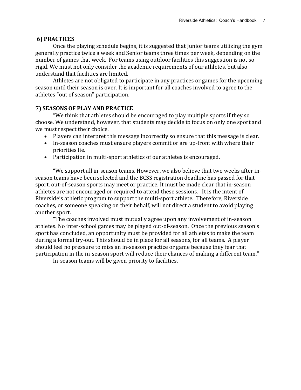## **6) PRACTICES**

Once the playing schedule begins, it is suggested that Junior teams utilizing the gym generally practice twice a week and Senior teams three times per week, depending on the number of games that week. For teams using outdoor facilities this suggestion is not so rigid. We must not only consider the academic requirements of our athletes, but also understand that facilities are limited.

Athletes are not obligated to participate in any practices or games for the upcoming season until their season is over. It is important for all coaches involved to agree to the athletes "out of season" participation.

## **7) SEASONS OF PLAY AND PRACTICE**

**"**We think that athletes should be encouraged to play multiple sports if they so choose. We understand, however, that students may decide to focus on only one sport and we must respect their choice.

- Players can interpret this message incorrectly so ensure that this message is clear.
- In-season coaches must ensure players commit or are up-front with where their priorities lie.
- Participation in multi-sport athletics of our athletes is encouraged.

"We support all in-season teams. However, we also believe that two weeks after inseason teams have been selected and the BCSS registration deadline has passed for that sport, out-of-season sports may meet or practice. It must be made clear that in-season athletes are not encouraged or required to attend these sessions. It is the intent of Riverside's athletic program to support the multi-sport athlete. Therefore, Riverside coaches, or someone speaking on their behalf, will not direct a student to avoid playing another sport.

"The coaches involved must mutually agree upon any involvement of in-season athletes. No inter-school games may be played out-of-season. Once the previous season's sport has concluded, an opportunity must be provided for all athletes to make the team during a formal try-out. This should be in place for all seasons, for all teams. A player should feel no pressure to miss an in-season practice or game because they fear that participation in the in-season sport will reduce their chances of making a different team."

In-season teams will be given priority to facilities.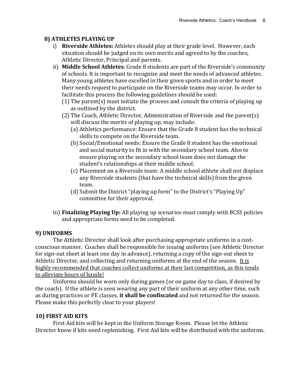# **8) ATHLETES PLAYING UP**

- i) **Riverside Athletes:** Athletes should play at their grade level. However, each situation should be judged on its own merits and agreed to by the coaches, Athletic Director, Principal and parents.
- ii) **Middle School Athletes**: Grade 8 students are part of the Riverside's community of schools. It is important to recognize and meet the needs of advanced athletes. Many young athletes have excelled in their given sports and in order to meet their needs request to participate on the Riverside teams may occur. In order to facilitate this process the following guidelines should be used:
	- (1) The parent(s) must initiate the process and consult the criteria of playing up as outlined by the district.
	- (2) The Coach, Athletic Director, Administration of Riverside and the parent(s) will discuss the merits of playing up, may include:
		- (a) Athletics performance: Ensure that the Grade 8 student has the technical skills to compete on the Riverside team.
		- (b) Social/Emotional needs: Ensure the Grade 8 student has the emotional and social maturity to fit in with the secondary school team. Also to ensure playing on the secondary school team does not damage the student's relationships at their middle school.
		- (c) Placement on a Riverside team: A middle school athlete shall not displace any Riverside students (that have the technical skills) from the given team.
		- (d) Submit the District "playing up form" to the District's "Playing Up" committee for their approval.
- iii) **Finalizing Playing Up:** All playing up scenarios must comply with BCSS policies and appropriate forms need to be completed.

# **9) UNIFORMS**

The Athletic Director shall look after purchasing appropriate uniforms in a costconscious manner. Coaches shall be responsible for issuing uniforms (see Athletic Director for sign-out sheet at least one day in advance), returning a copy of the sign-out sheet to Athletic Director, and collecting and returning uniforms at the end of the season. It is highly recommended that coaches collect uniforms at their last competition, as this tends to alleviate hours of hassle!

Uniforms should be worn only during games (or on game day to class, if desired by the coach). If the athlete is seen wearing any part of their uniform at any other time, such as during practices or PE classes, **it shall be confiscated** and not returned for the season. Please make this perfectly clear to your players!

## **10) FIRST AID KITS**

First Aid kits will be kept in the Uniform Storage Room. Please let the Athletic Director know if kits need replenishing. First Aid kits will be distributed with the uniforms.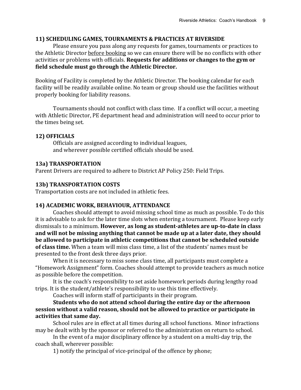#### **11) SCHEDULING GAMES, TOURNAMENTS & PRACTICES AT RIVERSIDE**

Please ensure you pass along any requests for games, tournaments or practices to the Athletic Director before booking so we can ensure there will be no conflicts with other activities or problems with officials. **Requests for additions or changes to the gym or field schedule must go through the Athletic Director.** 

Booking of Facility is completed by the Athletic Director. The booking calendar for each facility will be readily available online. No team or group should use the facilities without properly booking for liability reasons.

Tournaments should not conflict with class time. If a conflict will occur, a meeting with Athletic Director, PE department head and administration will need to occur prior to the times being set.

#### **12) OFFICIALS**

Officials are assigned according to individual leagues, and wherever possible certified officials should be used.

#### **13a) TRANSPORTATION**

Parent Drivers are required to adhere to District AP Policy 250: Field Trips.

#### **13b) TRANSPORTATION COSTS**

Transportation costs are not included in athletic fees.

#### **14) ACADEMIC WORK, BEHAVIOUR, ATTENDANCE**

Coaches should attempt to avoid missing school time as much as possible. To do this it is advisable to ask for the later time slots when entering a tournament. Please keep early dismissals to a minimum. **However, as long as student-athletes are up-to-date in class and will not be missing anything that cannot be made up at a later date, they should be allowed to participate in athletic competitions that cannot be scheduled outside of class time.** When a team will miss class time, a list of the students' names must be presented to the front desk three days prior.

When it is necessary to miss some class time, all participants must complete a "Homework Assignment" form. Coaches should attempt to provide teachers as much notice as possible before the competition.

It is the coach's responsibility to set aside homework periods during lengthy road trips. It is the student/athlete's responsibility to use this time effectively.

Coaches will inform staff of participants in their program.

**Students who do not attend school during the entire day or the afternoon session without a valid reason, should not be allowed to practice or participate in activities that same day.**

School rules are in effect at all times during all school functions. Minor infractions may be dealt with by the sponsor or referred to the administration on return to school.

In the event of a major disciplinary offence by a student on a multi-day trip, the coach shall, wherever possible:

1) notify the principal of vice-principal of the offence by phone;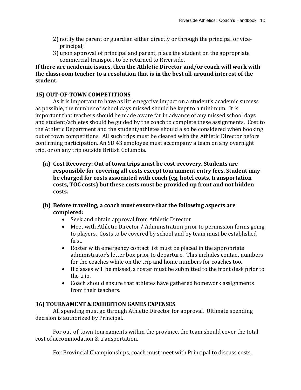- 2) notify the parent or guardian either directly or through the principal or viceprincipal;
- 3) upon approval of principal and parent, place the student on the appropriate commercial transport to be returned to Riverside.

# **If there are academic issues, then the Athletic Director and/or coach will work with the classroom teacher to a resolution that is in the best all-around interest of the student.**

# **15) OUT-OF-TOWN COMPETITIONS**

As it is important to have as little negative impact on a student's academic success as possible, the number of school days missed should be kept to a minimum. It is important that teachers should be made aware far in advance of any missed school days and student/athletes should be guided by the coach to complete these assignments. Cost to the Athletic Department and the student/athletes should also be considered when booking out of town competitions. All such trips must be cleared with the Athletic Director before confirming participation. An SD 43 employee must accompany a team on any overnight trip, or on any trip outside British Columbia.

- **(a) Cost Recovery: Out of town trips must be cost-recovery. Students are responsible for covering all costs except tournament entry fees. Student may be charged for costs associated with coach (eg, hotel costs, transportation costs, TOC costs) but these costs must be provided up front and not hidden costs.**
- **(b) Before traveling, a coach must ensure that the following aspects are completed:**
	- Seek and obtain approval from Athletic Director
	- Meet with Athletic Director / Administration prior to permission forms going to players. Costs to be covered by school and by team must be established first.
	- Roster with emergency contact list must be placed in the appropriate administrator's letter box prior to departure. This includes contact numbers for the coaches while on the trip and home numbers for coaches too.
	- If classes will be missed, a roster must be submitted to the front desk prior to the trip.
	- Coach should ensure that athletes have gathered homework assignments from their teachers.

# **16) TOURNAMENT & EXHIBITION GAMES EXPENSES**

All spending must go through Athletic Director for approval. Ultimate spending decision is authorized by Principal.

For out-of-town tournaments within the province, the team should cover the total cost of accommodation & transportation.

For Provincial Championships, coach must meet with Principal to discuss costs.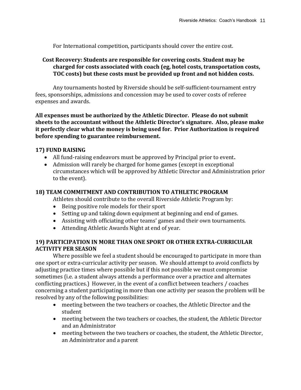For International competition, participants should cover the entire cost.

## **Cost Recovery: Students are responsible for covering costs. Student may be charged for costs associated with coach (eg, hotel costs, transportation costs, TOC costs) but these costs must be provided up front and not hidden costs.**

 Any tournaments hosted by Riverside should be self-sufficient-tournament entry fees, sponsorships, admissions and concession may be used to cover costs of referee expenses and awards.

**All expenses must be authorized by the Athletic Director. Please do not submit sheets to the accountant without the Athletic Director's signature. Also, please make it perfectly clear what the money is being used for. Prior Authorization is required before spending to guarantee reimbursement.** 

## **17) FUND RAISING**

- All fund-raising endeavors must be approved by Principal prior to event**.**
- Admission will rarely be charged for home games (except in exceptional circumstances which will be approved by Athletic Director and Administration prior to the event).

## **18) TEAM COMMITMENT AND CONTRIBUTION TO ATHLETIC PROGRAM**

Athletes should contribute to the overall Riverside Athletic Program by:

- Being positive role models for their sport
- Setting up and taking down equipment at beginning and end of games.
- Assisting with officiating other teams' games and their own tournaments.
- Attending Athletic Awards Night at end of year.

## **19) PARTICIPATION IN MORE THAN ONE SPORT OR OTHER EXTRA-CURRICULAR ACTIVITY PER SEASON**

Where possible we feel a student should be encouraged to participate in more than one sport or extra-curricular activity per season. We should attempt to avoid conflicts by adjusting practice times where possible but if this not possible we must compromise sometimes (i.e. a student always attends a performance over a practice and alternates conflicting practices.) However, in the event of a conflict between teachers / coaches concerning a student participating in more than one activity per season the problem will be resolved by any of the following possibilities:

- meeting between the two teachers or coaches, the Athletic Director and the student
- meeting between the two teachers or coaches, the student, the Athletic Director and an Administrator
- meeting between the two teachers or coaches, the student, the Athletic Director, an Administrator and a parent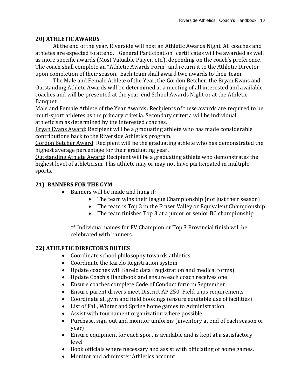## **20) ATHLETIC AWARDS**

At the end of the year, Riverside will host an Athletic Awards Night. All coaches and athletes are expected to attend. "General Participation" certificates will be awarded as well as more specific awards (Most Valuable Player, etc.), depending on the coach's preference. The coach shall complete an "Athletic Awards Form" and return it to the Athletic Director upon completion of their season. Each team shall award two awards to their team.

The Male and Female Athlete of the Year, the Gordon Betcher, the Bryan Evans and Outstanding Athlete Awards will be determined at a meeting of all interested and available coaches and will be presented at the year-end School Awards Night or at the Athletic Banquet.

Male and Female Athlete of the Year Awards: Recipients of these awards are required to be multi-sport athletes as the primary criteria. Secondary criteria will be individual athleticism as determined by the interested coaches.

Bryan Evans Award: Recipient will be a graduating athlete who has made considerable contributions back to the Riverside Athletics program.

Gordon Betcher Award: Recipient will be the graduating athlete who has demonstrated the highest average percentage for their graduating year.

Outstanding Athlete Award: Recipient will be a graduating athlete who demonstrates the highest level of athleticism. This athlete may or may not have participated in multiple sports.

# **21) BANNERS FOR THE GYM**

- Banners will be made and hung if:
	- The team wins their league Championship (not just their season)
	- The team is Top 3 in the Fraser Valley or Equivalent Championship
	- The team finishes Top 3 at a junior or senior BC championship

\*\* Individual names for FV Champion or Top 3 Provincial finish will be celebrated with banners.

# **22) ATHLETIC DIRECTOR'S DUTIES**

- Coordinate school philosophy towards athletics.
- Coordinate the Karelo Registration system
- Update coaches will Karelo data (registration and medical forms)
- Update Coach's Handbook and ensure each coach receives one
- Ensure coaches complete Code of Conduct form in September
- Ensure parent drivers meet District AP 250: Field trips requirements
- Coordinate all gym and field bookings (ensure equitable use of facilities)
- List of Fall, Winter and Spring home games to Administration.
- Assist with tournament organization where possible.
- Purchase, sign-out and monitor uniforms (inventory at end of each season or year)
- Ensure equipment for each sport is available and is kept at a satisfactory level
- Book officials where necessary and assist with officiating of home games.
- Monitor and administer Athletics account